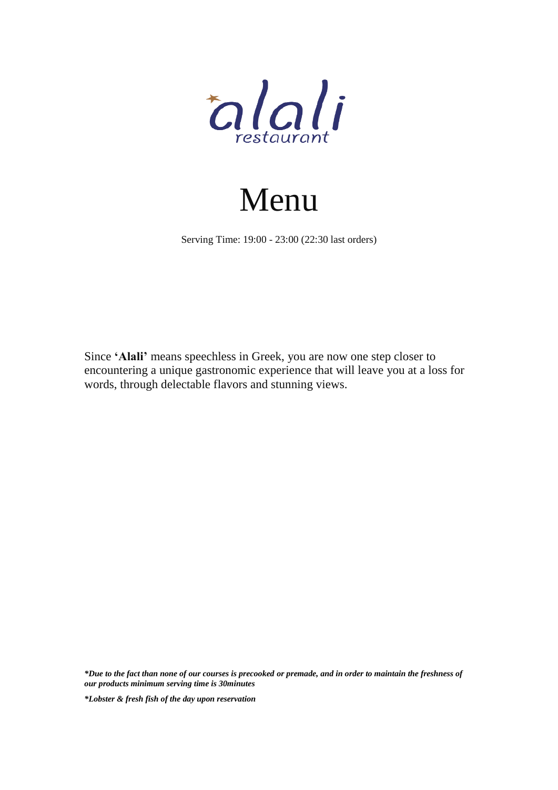

# Menu

Serving Time: 19:00 - 23:00 (22:30 last orders)

Since **'Alali'** means speechless in Greek, you are now one step closer to encountering a unique gastronomic experience that will leave you at a loss for words, through delectable flavors and stunning views.

*\*Due to the fact than none of our courses is precooked or premade, and in order to maintain the freshness of our products minimum serving time is 30minutes*

*\*Lobster & fresh fish of the day upon reservation*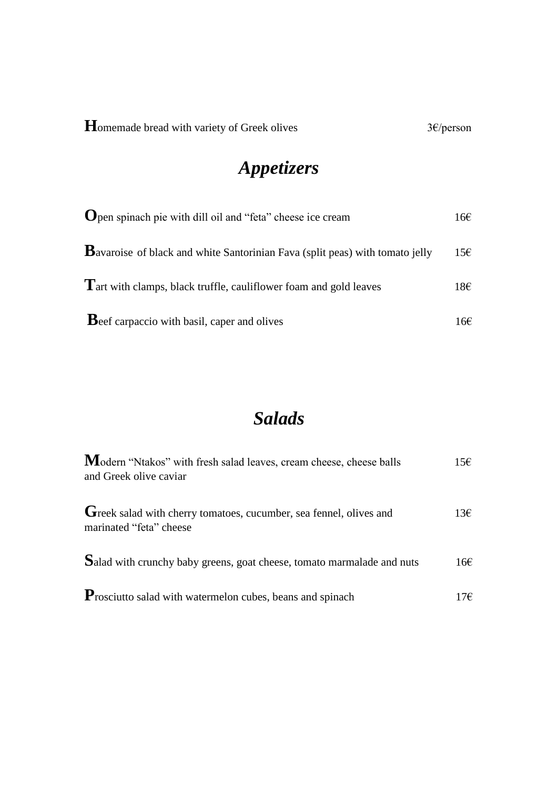# **Appetizers**

| <b>O</b> pen spinach pie with dill oil and "feta" cheese ice cream                   | 16E |
|--------------------------------------------------------------------------------------|-----|
| <b>B</b> avaroise of black and white Santorinian Fava (split peas) with tomato jelly | 15€ |
| Tart with clamps, black truffle, cauliflower foam and gold leaves                    | 18€ |
| <b>B</b> eef carpaccio with basil, caper and olives                                  | 16€ |

#### **Salads**

| Modern "Ntakos" with fresh salad leaves, cream cheese, cheese balls<br>and Greek olive caviar | 15E             |
|-----------------------------------------------------------------------------------------------|-----------------|
| Greek salad with cherry tomatoes, cucumber, sea fennel, olives and<br>marinated "feta" cheese | $13\varepsilon$ |
| Salad with crunchy baby greens, goat cheese, tomato marmalade and nuts                        | 16€             |
| <b>P</b> rosciutto salad with watermelon cubes, beans and spinach                             | 17€             |